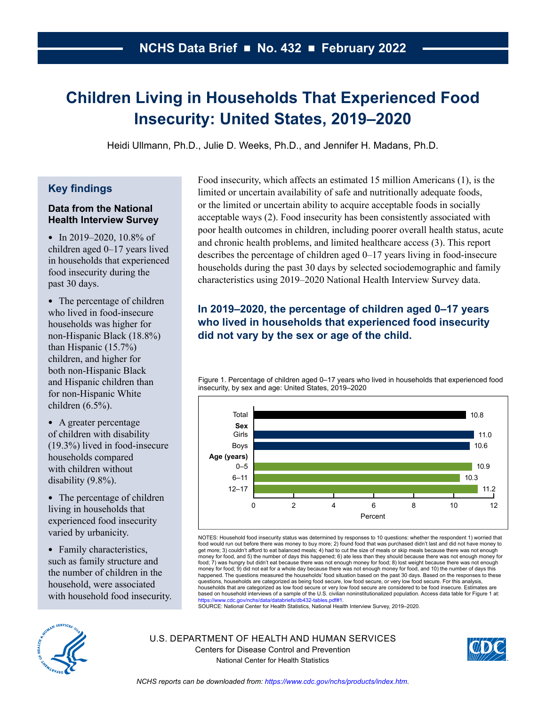# <span id="page-0-0"></span>**Children Living in Households That Experienced Food Insecurity: United States, 2019–2020**

Heidi Ullmann, Ph.D., Julie D. Weeks, Ph.D., and Jennifer H. Madans, Ph.D.

## **Key findings**

#### **Data from the National Health Interview Survey**

• In 2019–2020, 10.8% of children aged 0–17 years lived in households that experienced food insecurity during the past 30 days.

• The percentage of children who lived in food-insecure households was higher for non-Hispanic Black (18.8%) than Hispanic (15.7%) children, and higher for both non-Hispanic Black and Hispanic children than for non-Hispanic White children (6.5%).

● A greater percentage of children with disability (19.3%) lived in food-insecure households compared with children without disability (9.8%).

• The percentage of children living in households that experienced food insecurity varied by urbanicity.

• Family characteristics, such as family structure and the number of children in the household, were associated with household food insecurity. Food insecurity, which affects an estimated 15 million Americans (1), is the limited or uncertain availability of safe and nutritionally adequate foods, or the limited or uncertain ability to acquire acceptable foods in socially acceptable ways (2). Food insecurity has been consistently associated with poor health outcomes in children, including poorer overall health status, acute and chronic health problems, and limited healthcare access (3). This report describes the percentage of children aged 0–17 years living in food-insecure households during the past 30 days by selected sociodemographic and family characteristics using 2019–2020 National Health Interview Survey data.

# **In 2019–2020, the percentage of children aged 0–17 years who lived in households that experienced food insecurity did not vary by the sex or age of the child.**

Figure 1. Percentage of children aged 0–17 years who lived in households that experienced food insecurity, by sex and age: United States, 2019–2020



NOTES: Household food insecurity status was determined by responses to 10 questions: whether the respondent 1) worried that food would run out before there was money to buy more; 2) found food that was purchased didn't last and did not have money to get more; 3) couldn't afford to eat balanced meals; 4) had to cut the size of meals or skip meals because there was not enough money for food, and 5) the number of days this happened; 6) ate less than they should because there was not enough money for food; 7) was hungry but didn't eat because there was not enough money for food; 8) lost weight because there was not enough money for food; 9) did not eat for a whole day because there was not enough money for food, and 10) the number of days this happened. The questions measured the households' food situation based on the past 30 days. Based on the responses to these questions, households are categorized as being food secure, low food secure, or very low food secure. For this analysis, households that are categorized as low food secure or very low food secure are considered to be food insecure. Estimates are<br>based on household interviews of a sample of the U.S. civilian noninstitutionalized population. A s://www.cdc.gov/nchs/data/databriefs/db432-tables.pdf#1.

SOURCE: National Center for Health Statistics, National Health Interview Survey, 2019–2020.



U.S. DEPARTMENT OF HEALTH AND HUMAN SERVICES Centers for Disease Control and Prevention National Center for Health Statistics

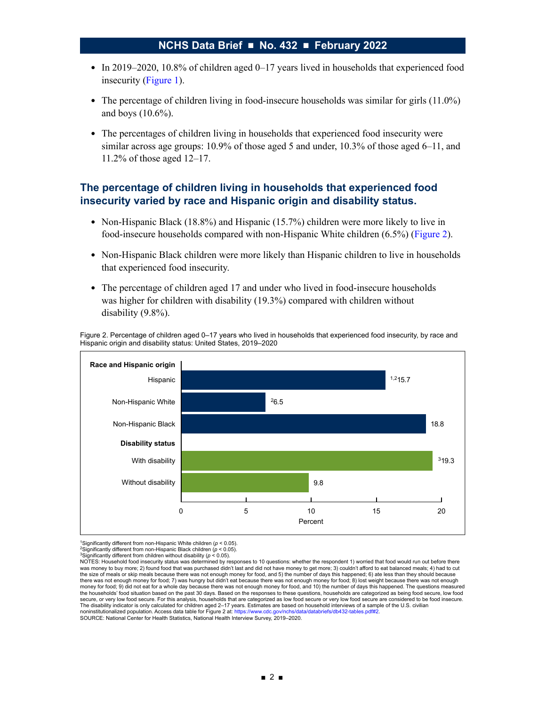- In 2019–2020, 10.8% of children aged  $0-17$  years lived in households that experienced food insecurity [\(Figure 1\)](#page-0-0).
- The percentage of children living in food-insecure households was similar for girls (11.0%) and boys (10.6%).
- The percentages of children living in households that experienced food insecurity were similar across age groups: 10.9% of those aged 5 and under, 10.3% of those aged 6–11, and 11.2% of those aged 12–17.

## **The percentage of children living in households that experienced food insecurity varied by race and Hispanic origin and disability status.**

- Non-Hispanic Black (18.8%) and Hispanic (15.7%) children were more likely to live in food-insecure households compared with non-Hispanic White children (6.5%) (Figure 2).
- Non-Hispanic Black children were more likely than Hispanic children to live in households that experienced food insecurity.
- The percentage of children aged 17 and under who lived in food-insecure households was higher for children with disability (19.3%) compared with children without disability (9.8%).

Figure 2. Percentage of children aged 0–17 years who lived in households that experienced food insecurity, by race and Hispanic origin and disability status: United States, 2019–2020



1Significantly different from non-Hispanic White children (*p* < 0.05).

3Significantly different from children without disability (*p* < 0.05).

<sup>2</sup>Significantly different from non-Hispanic Black children (*p* < 0.05).

NOTES: Household food insecurity status was determined by responses to 10 questions: whether the respondent 1) worried that food would run out before there was money to buy more; 2) found food that was purchased didn't last and did not have money to get more; 3) couldn't afford to eat balanced meals; 4) had to cut the size of meals or skip meals because there was not enough money for food, and 5) the number of days this happened; 6) ate less than they should because there was not enough money for food; 7) was hungry but didn't eat because there was not enough money for food; 8) lost weight because there was not enough money for food; 9) did not eat for a whole day because there was not enough money for food, and 10) the number of days this happened. The questions measured the households' food situation based on the past 30 days. Based on the responses to these questions, households are categorized as being food secure, low food secure, or very low food secure. For this analysis, households that are categorized as low food secure or very low food secure are considered to be food insecure. The disability indicator is only calculated for children aged 2–17 years. Estimates are based on household interviews of a sample of the U.S. civilian<br>noninstitutionalized population. Access data table for Figure 2 at: htt noninstitutionalized population. Access data table for Figure 2 at: https://www.cdc.gov

SOURCE: National Center for Health Statistics, National Health Interview Survey, 2019–2020.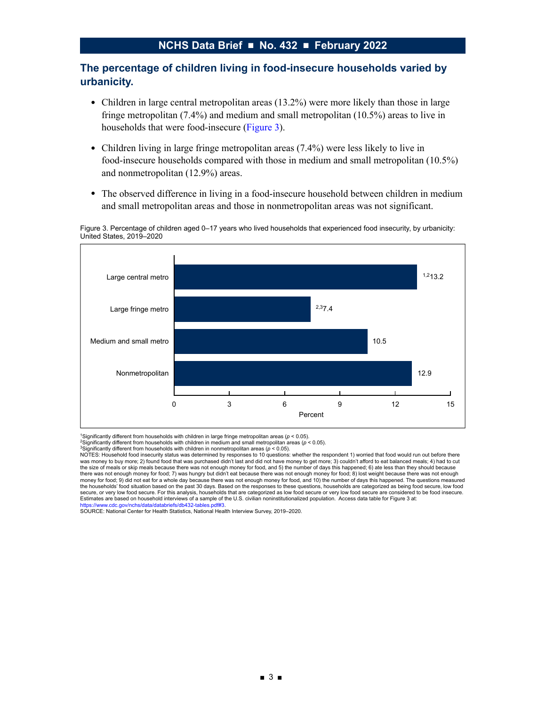## **The percentage of children living in food-insecure households varied by urbanicity.**

- Children in large central metropolitan areas (13.2%) were more likely than those in large fringe metropolitan (7.4%) and medium and small metropolitan (10.5%) areas to live in households that were food-insecure (Figure 3).
- Children living in large fringe metropolitan areas (7.4%) were less likely to live in food-insecure households compared with those in medium and small metropolitan (10.5%) and nonmetropolitan (12.9%) areas.
- The observed difference in living in a food-insecure household between children in medium and small metropolitan areas and those in nonmetropolitan areas was not significant.

Figure 3. Percentage of children aged 0–17 years who lived households that experienced food insecurity, by urbanicity: United States, 2019–2020



1Significantly different from households with children in large fringe metropolitan areas (*p* < 0.05).

2Significantly different from households with children in medium and small metropolitan areas (*p* < 0.05).

3Significantly different from households with children in nonmetropolitan areas (*p* < 0.05).

NOTES: Household food insecurity status was determined by responses to 10 questions: whether the respondent 1) worried that food would run out before there was money to buy more; 2) found food that was purchased didn't last and did not have money to get more; 3) couldn't afford to eat balanced meals; 4) had to cut the size of meals or skip meals because there was not enough money for food, and 5) the number of days this happened; 6) ate less than they should because there was not enough money for food; 7) was hungry but didn't eat because there was not enough money for food; 8) lost weight because there was not enough<br>money for food; 9) did not eat for a whole day because there was no the households' food situation based on the past 30 days. Based on the responses to these questions, households are categorized as being food secure, low food secure, or very low food secure. For this analysis, households that are categorized as low food secure or very low food secure are considered to be food insecure. Estimates are based on household interviews of a sample of the U.S. civilian noninstitutionalized population. Access data table for Figure 3 at: [https://www.cdc.gov/nchs/data/databriefs/db432-tables.pdf#3.](https://www.cdc.gov/nchs/data/databriefs/db432-tables.pdf#3)

SOURCE: National Center for Health Statistics, National Health Interview Survey, 2019–2020.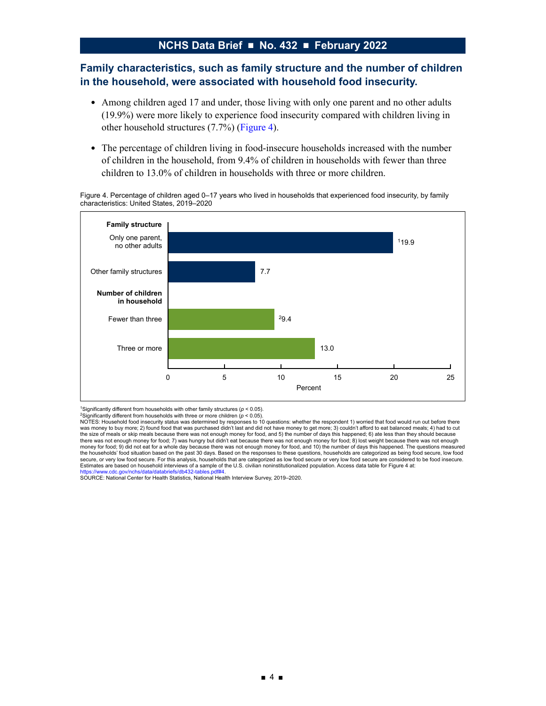## **Family characteristics, such as family structure and the number of children in the household, were associated with household food insecurity.**

- Among children aged 17 and under, those living with only one parent and no other adults (19.9%) were more likely to experience food insecurity compared with children living in other household structures (7.7%) (Figure 4).
- The percentage of children living in food-insecure households increased with the number of children in the household, from 9.4% of children in households with fewer than three children to 13.0% of children in households with three or more children.

Figure 4. Percentage of children aged 0–17 years who lived in households that experienced food insecurity, by family characteristics: United States, 2019–2020



<sup>1</sup>Significantly different from households with other family structures ( $p < 0.05$ ).

[https://www.cdc.gov/nchs/data/databriefs/db432-tables.pdf#4.](https://www.cdc.gov/nchs/data/databriefs/db432-tables.pdf#4) SOURCE: National Center for Health Statistics, National Health Interview Survey, 2019–2020.

<sup>&</sup>lt;sup>2</sup>Significantly different from households with three or more children (ρ < 0.05).<br>NOTES: Household food insecurity status was determined by responses to 10 questions: whether the respondent 1) worried that food would run was money to buy more; 2) found food that was purchased didn't last and did not have money to get more; 3) couldn't afford to eat balanced meals; 4) had to cut the size of meals or skip meals because there was not enough money for food, and 5) the number of days this happened; 6) ate less than they should because<br>there was not enough money for food; 7) was hungry but didn't eat b money for food; 9) did not eat for a whole day because there was not enough money for food, and 10) the number of days this happened. The questions measured the households' food situation based on the past 30 days. Based on the responses to these questions, households are categorized as being food secure, low food<br>secure, or very low food secure. For this analysis, households Estimates are based on household interviews of a sample of the U.S. civilian noninstitutionalized population. Access data table for Figure 4 at: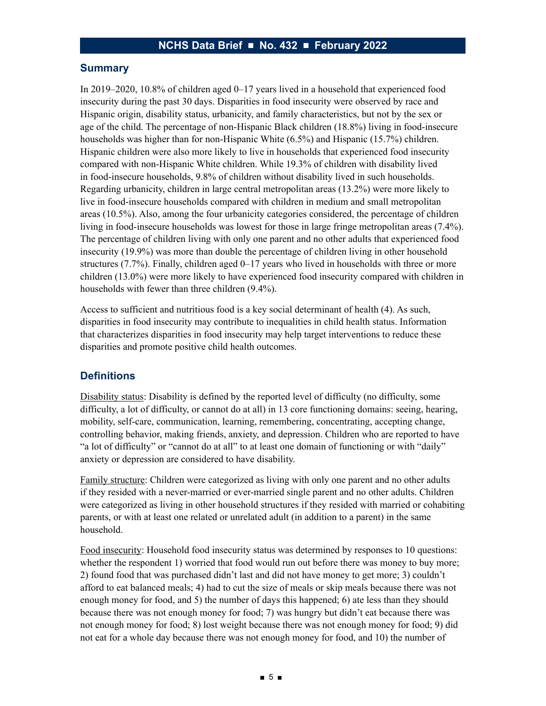### **Summary**

In 2019–2020, 10.8% of children aged 0–17 years lived in a household that experienced food insecurity during the past 30 days. Disparities in food insecurity were observed by race and Hispanic origin, disability status, urbanicity, and family characteristics, but not by the sex or age of the child. The percentage of non-Hispanic Black children (18.8%) living in food-insecure households was higher than for non-Hispanic White (6.5%) and Hispanic (15.7%) children. Hispanic children were also more likely to live in households that experienced food insecurity compared with non-Hispanic White children. While 19.3% of children with disability lived in food-insecure households, 9.8% of children without disability lived in such households. Regarding urbanicity, children in large central metropolitan areas (13.2%) were more likely to live in food-insecure households compared with children in medium and small metropolitan areas (10.5%). Also, among the four urbanicity categories considered, the percentage of children living in food-insecure households was lowest for those in large fringe metropolitan areas (7.4%). The percentage of children living with only one parent and no other adults that experienced food insecurity (19.9%) was more than double the percentage of children living in other household structures (7.7%). Finally, children aged 0–17 years who lived in households with three or more children (13.0%) were more likely to have experienced food insecurity compared with children in households with fewer than three children (9.4%).

Access to sufficient and nutritious food is a key social determinant of health (4). As such, disparities in food insecurity may contribute to inequalities in child health status. Information that characterizes disparities in food insecurity may help target interventions to reduce these disparities and promote positive child health outcomes.

#### **Definitions**

Disability status: Disability is defined by the reported level of difficulty (no difficulty, some difficulty, a lot of difficulty, or cannot do at all) in 13 core functioning domains: seeing, hearing, mobility, self-care, communication, learning, remembering, concentrating, accepting change, controlling behavior, making friends, anxiety, and depression. Children who are reported to have "a lot of difficulty" or "cannot do at all" to at least one domain of functioning or with "daily" anxiety or depression are considered to have disability.

Family structure: Children were categorized as living with only one parent and no other adults if they resided with a never-married or ever-married single parent and no other adults. Children were categorized as living in other household structures if they resided with married or cohabiting parents, or with at least one related or unrelated adult (in addition to a parent) in the same household.

Food insecurity: Household food insecurity status was determined by responses to 10 questions: whether the respondent 1) worried that food would run out before there was money to buy more; 2) found food that was purchased didn't last and did not have money to get more; 3) couldn't afford to eat balanced meals; 4) had to cut the size of meals or skip meals because there was not enough money for food, and 5) the number of days this happened; 6) ate less than they should because there was not enough money for food; 7) was hungry but didn't eat because there was not enough money for food; 8) lost weight because there was not enough money for food; 9) did not eat for a whole day because there was not enough money for food, and 10) the number of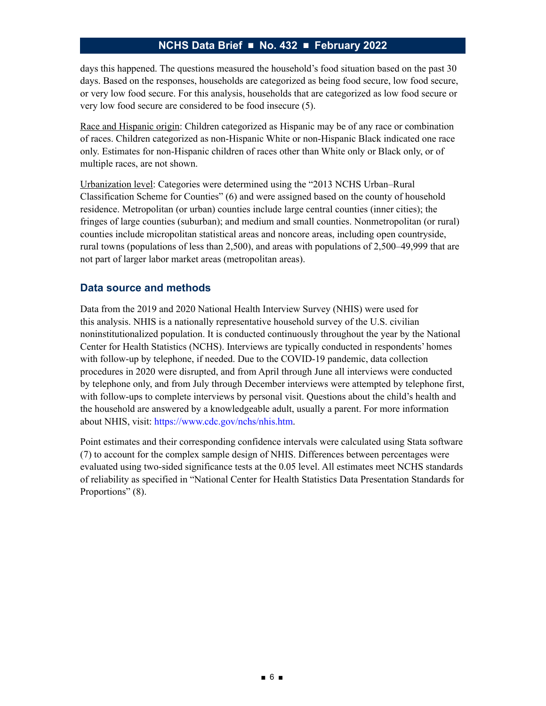days this happened. The questions measured the household's food situation based on the past 30 days. Based on the responses, households are categorized as being food secure, low food secure, or very low food secure. For this analysis, households that are categorized as low food secure or very low food secure are considered to be food insecure (5).

Race and Hispanic origin: Children categorized as Hispanic may be of any race or combination of races. Children categorized as non-Hispanic White or non-Hispanic Black indicated one race only. Estimates for non-Hispanic children of races other than White only or Black only, or of multiple races, are not shown.

Urbanization level: Categories were determined using the "2013 NCHS Urban–Rural Classification Scheme for Counties" (6) and were assigned based on the county of household residence. Metropolitan (or urban) counties include large central counties (inner cities); the fringes of large counties (suburban); and medium and small counties. Nonmetropolitan (or rural) counties include micropolitan statistical areas and noncore areas, including open countryside, rural towns (populations of less than 2,500), and areas with populations of 2,500–49,999 that are not part of larger labor market areas (metropolitan areas).

## **Data source and methods**

Data from the 2019 and 2020 National Health Interview Survey (NHIS) were used for this analysis. NHIS is a nationally representative household survey of the U.S. civilian noninstitutionalized population. It is conducted continuously throughout the year by the National Center for Health Statistics (NCHS). Interviews are typically conducted in respondents' homes with follow-up by telephone, if needed. Due to the COVID-19 pandemic, data collection procedures in 2020 were disrupted, and from April through June all interviews were conducted by telephone only, and from July through December interviews were attempted by telephone first, with follow-ups to complete interviews by personal visit. Questions about the child's health and the household are answered by a knowledgeable adult, usually a parent. For more information about NHIS, visit: [https://www.cdc.gov/nchs/nhis.htm.](https://www.cdc.gov/nchs/nhis.htm)

Point estimates and their corresponding confidence intervals were calculated using Stata software (7) to account for the complex sample design of NHIS. Differences between percentages were evaluated using two-sided significance tests at the 0.05 level. All estimates meet NCHS standards of reliability as specified in "National Center for Health Statistics Data Presentation Standards for Proportions" (8).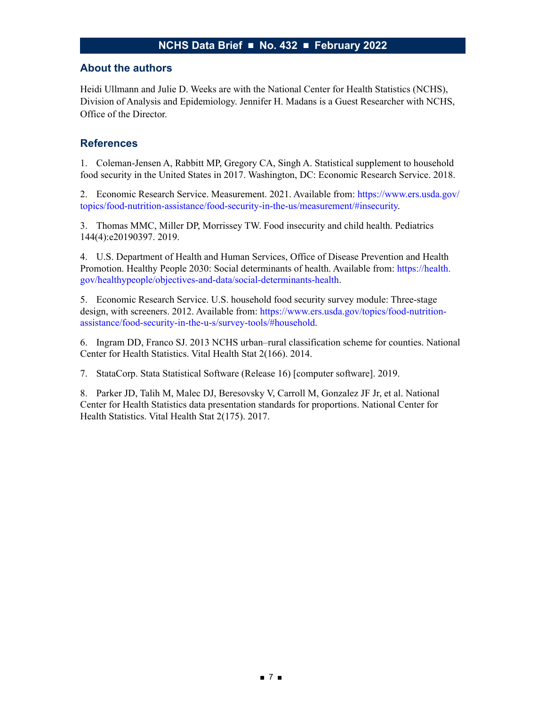#### **About the authors**

Heidi Ullmann and Julie D. Weeks are with the National Center for Health Statistics (NCHS), Division of Analysis and Epidemiology. Jennifer H. Madans is a Guest Researcher with NCHS, Office of the Director.

## **References**

1. Coleman-Jensen A, Rabbitt MP, Gregory CA, Singh A. Statistical supplement to household food security in the United States in 2017. Washington, DC: Economic Research Service. 2018.

2. Economic Research Service. Measurement. 2021. Available from: [https://www.ers.usda.gov/](https://www.ers.usda.gov/topics/food-nutrition-assistance/food-security-in-the-us/measurement/#insecurity) [topics/food-nutrition-assistance/food-security-in-the-us/measurement/#insecurity](https://www.ers.usda.gov/topics/food-nutrition-assistance/food-security-in-the-us/measurement/#insecurity).

3. Thomas MMC, Miller DP, Morrissey TW. Food insecurity and child health. Pediatrics 144(4):e20190397. 2019.

4. U.S. Department of Health and Human Services, Office of Disease Prevention and Health Promotion. Healthy People 2030: Social determinants of health. Available from: [https://health.](https://health.gov/healthypeople/objectives-and-data/social-determinants-health) [gov/healthypeople/objectives-and-data/social-determinants-health](https://health.gov/healthypeople/objectives-and-data/social-determinants-health).

5. Economic Research Service. U.S. household food security survey module: Three-stage design, with screeners. 2012. Available from: [https://www.ers.usda.gov/topics/food-nutrition](https://www.ers.usda.gov/topics/food-nutrition-assistance/food-security-in-the-u-s/survey-tools/#household)[assistance/food-security-in-the-u-s/survey-tools/#household](https://www.ers.usda.gov/topics/food-nutrition-assistance/food-security-in-the-u-s/survey-tools/#household).

6. Ingram DD, Franco SJ. 2013 NCHS urban–rural classification scheme for counties. National Center for Health Statistics. Vital Health Stat 2(166). 2014.

7. StataCorp. Stata Statistical Software (Release 16) [computer software]. 2019.

8. Parker JD, Talih M, Malec DJ, Beresovsky V, Carroll M, Gonzalez JF Jr, et al. National Center for Health Statistics data presentation standards for proportions. National Center for Health Statistics. Vital Health Stat 2(175). 2017.